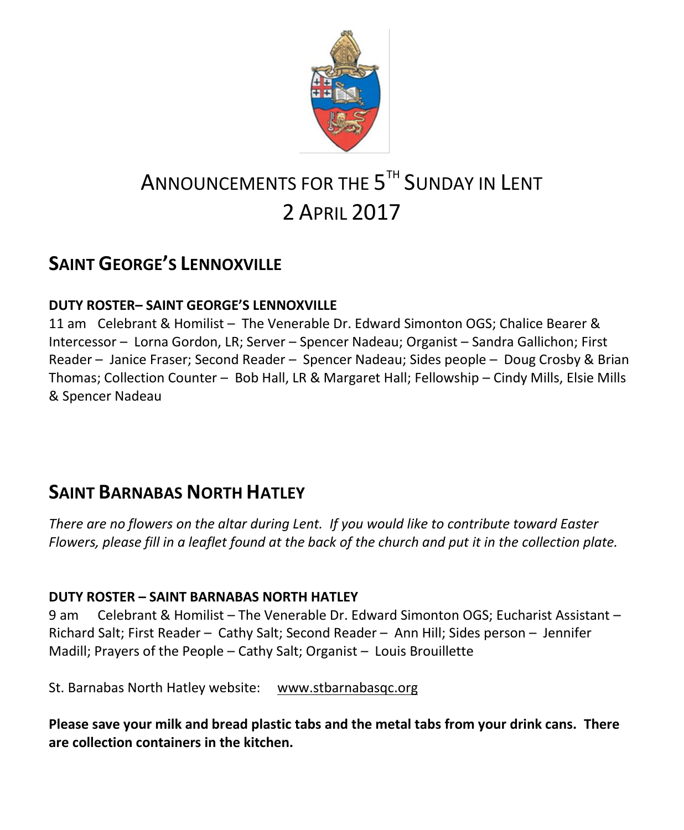

# ANNOUNCEMENTS FOR THE  $5^{\text{\tiny{TH}}}$  Sunday in Lent 2 APRIL 2017

# **SAINT GEORGE'S LENNOXVILLE**

### **DUTY ROSTER– SAINT GEORGE'S LENNOXVILLE**

11 am Celebrant & Homilist – The Venerable Dr. Edward Simonton OGS; Chalice Bearer & Intercessor – Lorna Gordon, LR; Server – Spencer Nadeau; Organist – Sandra Gallichon; First Reader – Janice Fraser; Second Reader – Spencer Nadeau; Sides people – Doug Crosby & Brian Thomas; Collection Counter – Bob Hall, LR & Margaret Hall; Fellowship – Cindy Mills, Elsie Mills & Spencer Nadeau

### **SAINT BARNABAS NORTH HATLEY**

*There are no flowers on the altar during Lent. If you would like to contribute toward Easter Flowers, please fill in a leaflet found at the back of the church and put it in the collection plate.*

#### **DUTY ROSTER – SAINT BARNABAS NORTH HATLEY**

9 am Celebrant & Homilist – The Venerable Dr. Edward Simonton OGS; Eucharist Assistant – Richard Salt; First Reader – Cathy Salt; Second Reader – Ann Hill; Sides person – Jennifer Madill; Prayers of the People – Cathy Salt; Organist – Louis Brouillette

St. Barnabas North Hatley website: [www.stbarnabasqc.org](https://webmail.ubishops.ca/owa/redir.aspx?REF=0vV84iQWktbgou41-Q7x-hpuWc0un25Lg32_cT3pE_mXa77B8czTCAFodHRwOi8vd3d3LnN0YmFybmFiYXNxYy5vcmc.)

**Please save your milk and bread plastic tabs and the metal tabs from your drink cans. There are collection containers in the kitchen.**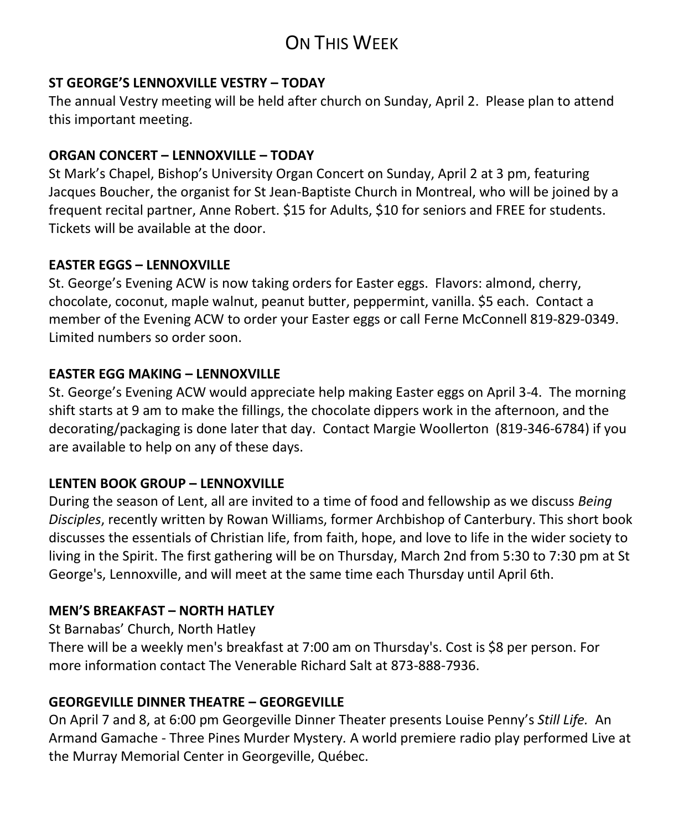# ON THIS WEEK

#### **ST GEORGE'S LENNOXVILLE VESTRY – TODAY**

The annual Vestry meeting will be held after church on Sunday, April 2. Please plan to attend this important meeting.

#### **ORGAN CONCERT – LENNOXVILLE – TODAY**

St Mark's Chapel, Bishop's University Organ Concert on Sunday, April 2 at 3 pm, featuring Jacques Boucher, the organist for St Jean-Baptiste Church in Montreal, who will be joined by a frequent recital partner, Anne Robert. \$15 for Adults, \$10 for seniors and FREE for students. Tickets will be available at the door.

#### **EASTER EGGS – LENNOXVILLE**

St. George's Evening ACW is now taking orders for Easter eggs. Flavors: almond, cherry, chocolate, coconut, maple walnut, peanut butter, peppermint, vanilla. \$5 each. Contact a member of the Evening ACW to order your Easter eggs or call Ferne McConnell 819-829-0349. Limited numbers so order soon.

#### **EASTER EGG MAKING – LENNOXVILLE**

St. George's Evening ACW would appreciate help making Easter eggs on April 3-4. The morning shift starts at 9 am to make the fillings, the chocolate dippers work in the afternoon, and the decorating/packaging is done later that day. Contact Margie Woollerton (819-346-6784) if you are available to help on any of these days.

#### **LENTEN BOOK GROUP – LENNOXVILLE**

During the season of Lent, all are invited to a time of food and fellowship as we discuss *Being Disciples*, recently written by Rowan Williams, former Archbishop of Canterbury. This short book discusses the essentials of Christian life, from faith, hope, and love to life in the wider society to living in the Spirit. The first gathering will be on Thursday, March 2nd from 5:30 to 7:30 pm at St George's, Lennoxville, and will meet at the same time each Thursday until April 6th.

### **MEN'S BREAKFAST – NORTH HATLEY**

St Barnabas' Church, North Hatley

There will be a weekly men's breakfast at 7:00 am on Thursday's. Cost is \$8 per person. For more information contact The Venerable Richard Salt at 873-888-7936.

#### **GEORGEVILLE DINNER THEATRE – GEORGEVILLE**

On April 7 and 8, at 6:00 pm Georgeville Dinner Theater presents Louise Penny's *Still Life.* An Armand Gamache - Three Pines Murder Mystery*.* A world premiere radio play performed Live at the Murray Memorial Center in Georgeville, Québec.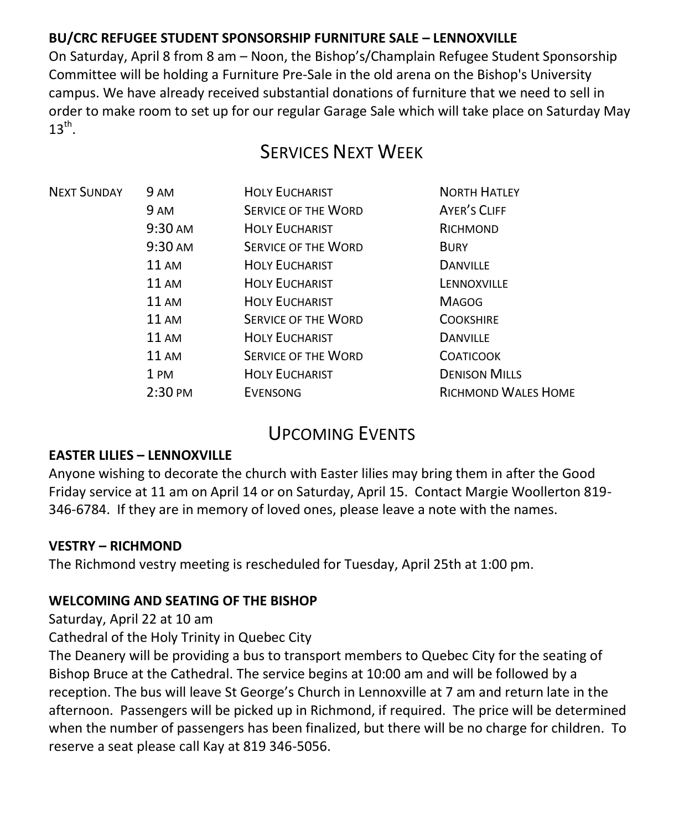### **BU/CRC REFUGEE STUDENT SPONSORSHIP FURNITURE SALE – LENNOXVILLE**

On Saturday, April 8 from 8 am – Noon, the Bishop's/Champlain Refugee Student Sponsorship Committee will be holding a Furniture Pre-Sale in the old arena on the Bishop's University campus. We have already received substantial donations of furniture that we need to sell in order to make room to set up for our regular Garage Sale which will take place on Saturday May  $13^{\text{th}}$ .

# SERVICES NEXT WEEK

| <b>NEXT SUNDAY</b> | 9 AM               | <b>HOLY EUCHARIST</b>      | <b>NORTH HATLEY</b>        |
|--------------------|--------------------|----------------------------|----------------------------|
|                    | 9 AM               | <b>SERVICE OF THE WORD</b> | AYER'S CLIFF               |
|                    | 9:30 AM            | <b>HOLY EUCHARIST</b>      | RICHMOND                   |
|                    | $9:30 \text{ AM}$  | <b>SERVICE OF THE WORD</b> | <b>BURY</b>                |
|                    | $11 \text{ AM}$    | <b>HOLY EUCHARIST</b>      | <b>DANVILLE</b>            |
|                    | $11 \text{ AM}$    | <b>HOLY EUCHARIST</b>      | LENNOXVILLE                |
|                    | 11 AM              | <b>HOLY EUCHARIST</b>      | <b>MAGOG</b>               |
|                    | 11 AM              | <b>SERVICE OF THE WORD</b> | <b>COOKSHIRE</b>           |
|                    | $11 \text{ AM}$    | <b>HOLY EUCHARIST</b>      | <b>DANVILLE</b>            |
|                    | <b>11 AM</b>       | <b>SERVICE OF THE WORD</b> | <b>COATICOOK</b>           |
|                    | 1 PM               | <b>HOLY EUCHARIST</b>      | <b>DENISON MILLS</b>       |
|                    | $2:30 \text{ }$ PM | <b>EVENSONG</b>            | <b>RICHMOND WALES HOME</b> |
|                    |                    |                            |                            |

### UPCOMING EVENTS

#### **EASTER LILIES – LENNOXVILLE**

Anyone wishing to decorate the church with Easter lilies may bring them in after the Good Friday service at 11 am on April 14 or on Saturday, April 15. Contact Margie Woollerton 819- 346-6784. If they are in memory of loved ones, please leave a note with the names.

#### **VESTRY – RICHMOND**

The Richmond vestry meeting is rescheduled for Tuesday, April 25th at 1:00 pm.

#### **WELCOMING AND SEATING OF THE BISHOP**

Saturday, April 22 at 10 am

Cathedral of the Holy Trinity in Quebec City

The Deanery will be providing a bus to transport members to Quebec City for the seating of Bishop Bruce at the Cathedral. The service begins at 10:00 am and will be followed by a reception. The bus will leave St George's Church in Lennoxville at 7 am and return late in the afternoon. Passengers will be picked up in Richmond, if required. The price will be determined when the number of passengers has been finalized, but there will be no charge for children. To reserve a seat please call Kay at 819 346-5056.